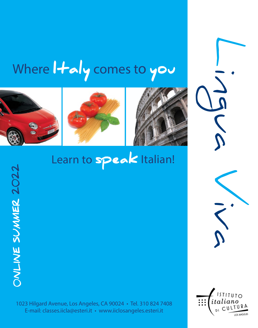# Where  $1 + \alpha$  y comes to you







# Learn to **speak** Italian!

1023 Hilgard Avenue, Los Angeles, CA 90024 • Tel. 310 824 7408 E-mail: classes.iicla@esteri.it • www.iiclosangeles.esteri.it



Lingua

Viva

ONLINE SUMMER 2022 0NLINE SUMMER 2022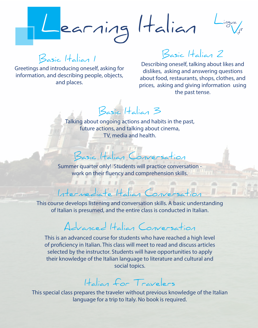Learning Halian Lingua

Basic Italian 1 Basic Italian 1

Greetings and introducing oneself, asking for Greetings and introducing oneself, asking for information, and describing people, objects, information, and describing people, objects, and places. and places.

# Basic Italian 2 Basic Italian 2

Describing oneself, talking about likes and Describing oneself, talking about likes and dislikes, asking and answering questions dislikes, asking and answering questions about food, restaurants, shops, clothes, and about food, restaurants, shops, clothes, and prices, asking and giving information using prices, asking and giving information using the past tense. the past tense.

Basic Italian 3 Basic Italian 3

Talking about ongoing actions and habits in the past, Talking about ongoing actions and habits in the past, future actions, and talking about cinema, future actions, and talking about cinema, TV, media and health. TV, media and health. ting about c<br>future ac<br>Besic |<br>er quarter o<br>vork on thei bout ongoin<br>ure actions,<br>TV, n<br>sic\_{\displain{\default ref{\displain{\default r} \).

### Basic Italian Conversation Basic Italian Conversation

Summer quarter only! Students will practice conversation - Summer quarter only! Students will practice conversation work on their fluency and comprehension skills. work on their fluency and comprehension skills.

#### Intermediate Italian Conversation Intermediate Italian Conversation

sic<br>er quarter of<br>vork on their<br>clops listen<br>is presumed This course develops listening and conversation skills. A basic understanding This course develops listening and conversation skills. A basic understanding of Italian is presumed, and the entire class is conducted in Italian. of Italian is presumed, and the entire class is conducted in Italian. sic  $|t_a|$ <br>arter only!<br>on their flue<br>ediate<br>listening and<br>sumed, and

# Advanced Italian Conversation Advanced Italian Conversation

This is an advanced course for students who have reached a high level This is an advanced course for students who have reached a high level of proficiency in Italian. This class will meet to read and discuss articles of proficiency in Italian. This class will meet to read and discuss articles selected by the instructor. Students will have opportunities to apply selected by the instructor. Students will have opportunities to apply their knowledge of the Italian language to literature and cultural and their knowledge of the Italian language to literature and cultural and social topics. social topics.

# Italian for Travelers Italian for Travelers

This special class prepares the traveler without previous knowledge of the Italian This special class prepares the traveler without previous knowledge of the Italian language for a trip to Italy. No book is required. language for a trip to Italy. No book is required.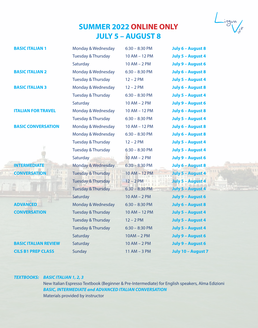# **SUMMER 2022 ONLINE ONLY SUMMER 2022 ONLINE ONLY JULY 5 – AUGUST 8 JULY 5 – AUGUST 8**

Lingua<br>V<sub>iv</sub>o

| <b>BASIC ITALIAN 1</b>      | Monday & Wednesday            | $6:30 - 8:30$ PM | July 6 - August 8        |
|-----------------------------|-------------------------------|------------------|--------------------------|
|                             | <b>Tuesday &amp; Thursday</b> | 10 AM - 12 PM    | July 5 - August 4        |
|                             | Saturday                      | $10 AM - 2 PM$   | July 9 - August 6        |
| <b>BASIC ITALIAN 2</b>      | Monday & Wednesday            | $6:30 - 8:30$ PM | July 6 - August 8        |
|                             | <b>Tuesday &amp; Thursday</b> | $12 - 2 PM$      | July 5 - August 4        |
| <b>BASIC ITALIAN 3</b>      | Monday & Wednesday            | $12 - 2$ PM      | July 6 - August 8        |
|                             | <b>Tuesday &amp; Thursday</b> | $6:30 - 8:30$ PM | July 5 - August 4        |
|                             | Saturday                      | $10 AM - 2 PM$   | July 9 - August 6        |
| <b>ITALIAN FOR TRAVEL</b>   | Monday & Wednesday            | 10 AM - 12 PM    | July 6 - August 8        |
|                             | <b>Tuesday &amp; Thursday</b> | $6:30 - 8:30$ PM | July 5 - August 4        |
| <b>BASIC CONVERSATION</b>   | Monday & Wednesday            | 10 AM - 12 PM    | July 6 - August 8        |
|                             | Monday & Wednesday            | $6:30 - 8:30$ PM | July 6 - August 8        |
|                             | <b>Tuesday &amp; Thursday</b> | $12 - 2 PM$      | July 5 - August 4        |
|                             | Tuesday & Thursday            | $6:30 - 8:30$ PM | July 5 - August 4        |
|                             | Saturday                      | $10 AM - 2 PM$   | July 9 - August 6        |
| <b>INTERMEDIATE</b>         | Monday & Wednesday            | $6:30 - 8:30$ PM | July 6 - August 8        |
| <b>CONVERSATION</b>         | <b>Tuesday &amp; Thursday</b> | 10 AM - 12 PM    | July 5 - August 4        |
|                             | <b>Tuesday &amp; Thursday</b> | $12 - 2$ PM      | <b>July 5 - August 4</b> |
|                             | <b>Tuesday &amp; Thursday</b> | $6:30 - 8:30$ PM | July 5 - August 4        |
|                             | Saturday                      | $10 AM - 2 PM$   | July 9 - August 6        |
| <b>ADVANCED</b>             | Monday & Wednesday            | $6:30 - 8:30$ PM | July 6 - August 8        |
| <b>CONVERSATION</b>         | <b>Tuesday &amp; Thursday</b> | 10 AM - 12 PM    | July 5 - August 4        |
|                             | <b>Tuesday &amp; Thursday</b> | $12 - 2 PM$      | July 5 - August 4        |
|                             | <b>Tuesday &amp; Thursday</b> | $6:30 - 8:30$ PM | July 5 - August 4        |
|                             | Saturday                      | $10AM - 2PM$     | July 9 - August 6        |
| <b>BASIC ITALIAN REVIEW</b> | Saturday                      | $10 AM - 2 PM$   | July 9 - August 6        |
| <b>CILS B1 PREP CLASS</b>   | Sunday                        | $11$ AM $-$ 3 PM | July 10 - August 7       |
|                             |                               |                  |                          |

#### *TEXTBOOKS: BASIC ITALIAN 1, 2, 3 TEXTBOOKS: BASIC ITALIAN 1, 2, 3*

New Italian Espresso Textbook (Beginner & Pre-Intermediate) for English speakers, Alma Edizioni New Italian Espresso Textbook (Beginner & Pre-Intermediate) for English speakers, Alma Edizioni *BASIC, INTERMEDIATE and ADVANCED ITALIAN CONVERSATION BASIC, INTERMEDIATE and ADVANCED ITALIAN CONVERSATION* Materials provided by instructor Materials provided by instructor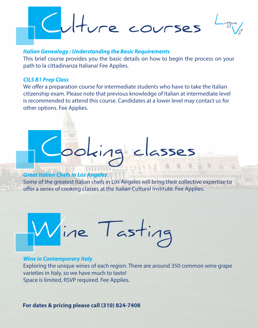

#### *Italian Genealogy : Understanding the Basic Requirements*

This brief course provides you the basic details on how to begin the process on your path to la cittadinanza Italiana! Fee Applies.

#### *CILS B1 Prep Class*

We offer a preparation course for intermediate students who have to take the Italian citizenship exam. Please note that previous knowledge of Italian at intermediate level is recommended to attend this course. Candidates at a lower level may contact us for other options. Fee Applies.

#### *Great Italian Chefs in Los Angeles*

Some of the greatest Italian chefs in Los Angeles will bring their collective expertise to offer a series of cooking classes at the Italian Cultural Institute. Fee Applies.

Cooking classes



### *Wine in Contemporary Italy* Exploring the unique wines of each region. There are around 350 common wine grape varieties in Italy, so we have much to taste! Space is limited, RSVP required. Fee Applies.

**For dates & pricing please call (310) 824-7408**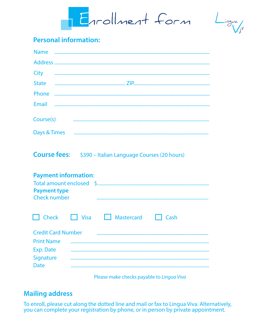Errollment form

 $L_{i,1}$ 

## **Personal information:**

|  | $\begin{minipage}[c]{0.9\linewidth} \textbf{State} & \begin{minipage}[c]{0.9\linewidth} \centering \textbf{if} \end{minipage}[c]{0.9\linewidth} \textbf{if} \end{minipage}[c]{0.9\linewidth} \textbf{if} \end{minipage}[c]{0.9\linewidth} \textbf{if} \end{minipage}[c]{0.9\linewidth} \textbf{if} \end{minipage}[c]{0.9\linewidth} \textbf{if} \end{minipage}[c]{0.9\linewidth} \textbf{if} \end{minipage}[c]{0.9\linewidth} \textbf{if} \end{minipage}[c]{0.9\linewidth} \textbf{if} \end{minipage$ |  |  |
|--|-------------------------------------------------------------------------------------------------------------------------------------------------------------------------------------------------------------------------------------------------------------------------------------------------------------------------------------------------------------------------------------------------------------------------------------------------------------------------------------------------------|--|--|
|  |                                                                                                                                                                                                                                                                                                                                                                                                                                                                                                       |  |  |
|  |                                                                                                                                                                                                                                                                                                                                                                                                                                                                                                       |  |  |
|  |                                                                                                                                                                                                                                                                                                                                                                                                                                                                                                       |  |  |
|  |                                                                                                                                                                                                                                                                                                                                                                                                                                                                                                       |  |  |
|  |                                                                                                                                                                                                                                                                                                                                                                                                                                                                                                       |  |  |

## **Course fees:** \$390 - Italian Language Courses (20 hours)

| <b>Payment information:</b><br><b>Payment type</b><br>Check number |          |            |      |
|--------------------------------------------------------------------|----------|------------|------|
| <b>Check</b><br><b>Credit Card Number</b>                          | l I Visa | Mastercard | Cash |
|                                                                    |          |            |      |
| <b>Print Name</b>                                                  |          |            |      |
| Exp. Date                                                          |          |            |      |
| Signature                                                          |          |            |      |
| Date                                                               |          |            |      |

Please make checks payable to Lingua Viva

## **Mailing address**

To enroll, please cut along the dotted line and mail or fax to Lingua Viva. Alternatively, you can complete your registration by phone, or in person by private appointment.